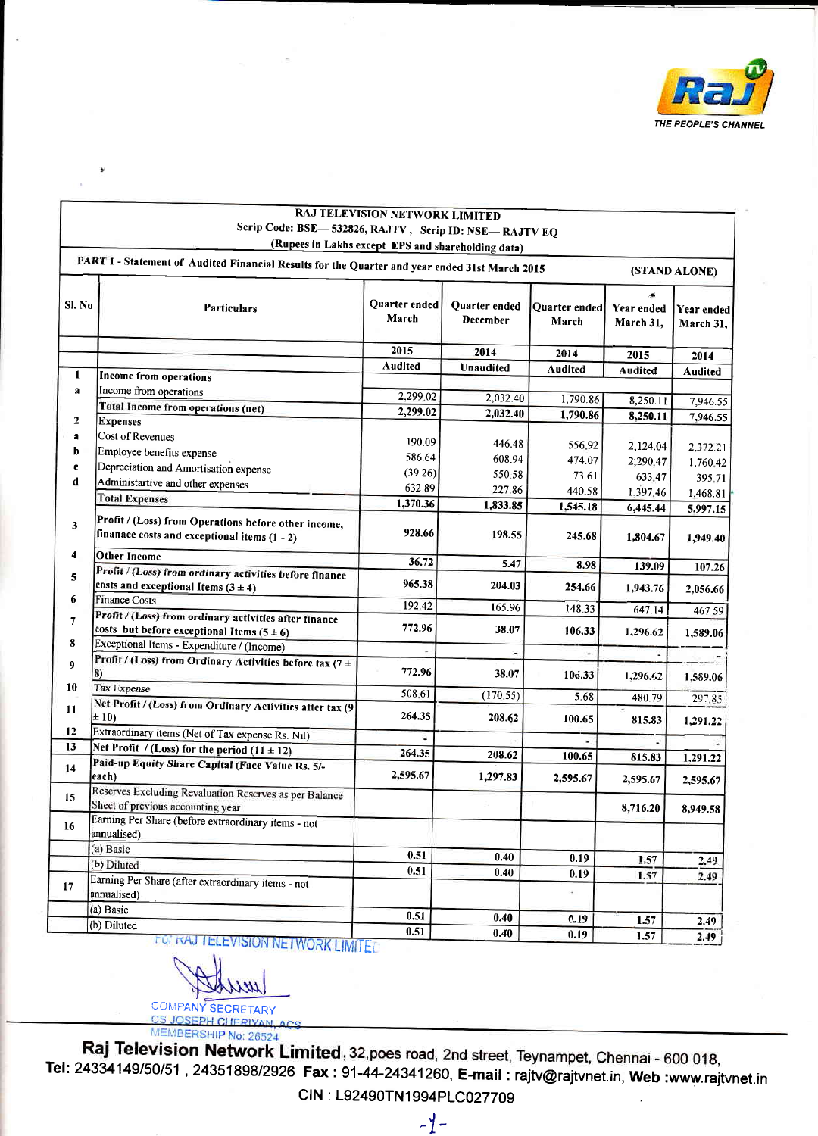

| <b>RAJ TELEVISION NETWORK LIMITED</b>                 |
|-------------------------------------------------------|
| Scrip Code: BSE—532826, RAJTV, Scrip ID: NSE—RAJTV EQ |
| (Rupees in Lakhs except EPS and shareholding data)    |

|                | PART I - Statement of Audited Financial Results for the Quarter and year ended 31st March 2015           |                        |                           |                        |                         | (STAND ALONE)           |
|----------------|----------------------------------------------------------------------------------------------------------|------------------------|---------------------------|------------------------|-------------------------|-------------------------|
| Sl. No         | <b>Particulars</b>                                                                                       | Quarter ended<br>March | Quarter ended<br>December | Quarter ended<br>March | Year ended<br>March 31, | Year ended<br>March 31, |
|                |                                                                                                          | 2015                   | 2014                      | 2014                   | 2015                    | 2014                    |
|                |                                                                                                          | <b>Audited</b>         | Unaudited                 | Audited                | Audited                 | Audited                 |
| $\mathbf{1}$   | Income from operations                                                                                   |                        |                           |                        |                         |                         |
| $\mathbf{a}$   | Income from operations                                                                                   | 2,299.02               | 2,032.40                  | 1,790.86               | 8,250.11                | 7,946.55                |
|                | Total Income from operations (net)                                                                       | 2,299.02               | 2,032.40                  | 1,790.86               | 8,250.11                | 7,946.55                |
| $\overline{2}$ | <b>Expenses</b>                                                                                          |                        |                           |                        |                         |                         |
| a              | Cost of Revenues                                                                                         | 190.09                 | 446.48                    | 556.92                 | 2,124.04                | 2,372.21                |
| b              | Employee benefits expense                                                                                | 586.64                 | 608.94                    | 474.07                 | 2;290.47                | 1,760.42                |
| c              | Depreciation and Amortisation expense                                                                    | (39.26)                | 550.58                    | 73.61                  | 633.47                  | 395.71                  |
| d              | Administartive and other expenses                                                                        | 632.89                 | 227.86                    | 440.58                 | 1,397.46                |                         |
|                | <b>Total Expenses</b>                                                                                    | 1,370.36               | 1,833.85                  | 1,545.18               |                         | 1,468.81                |
| 3              | Profit / (Loss) from Operations before other income,<br>finanace costs and exceptional items $(1 - 2)$   | 928.66                 | 198.55                    | 245.68                 | 6,445.44<br>1,804.67    | 5,997.15<br>1,949.40    |
| 4              | <b>Other Income</b>                                                                                      | 36.72                  | 5.47                      | 8.98                   | 139.09                  |                         |
| 5              | Profit / (Loss) from ordinary activities before finance<br>costs and exceptional Items $(3 \pm 4)$       | 965.38                 | 204.03                    | 254.66                 | 1,943.76                | 107.26<br>2,056.66      |
| 6              | <b>Finance Costs</b>                                                                                     | 192.42                 | 165.96                    | 148.33                 | 647.14                  |                         |
| $\overline{7}$ | Profit / (Loss) from ordinary activities after finance<br>costs but before exceptional Items $(5 \pm 6)$ | 772.96                 | 38.07                     | 106.33                 | 1,296.62                | 467 59<br>1,589.06      |
| 8              | Exceptional Items - Expenditure / (Income)                                                               |                        |                           | ÷.                     |                         |                         |
| 9              | Profit / (Loss) from Ordinary Activities before tax (7 ±<br>8)                                           | 772.96                 | 38.07                     | 106.33                 | 1,296.62                | 1,589.06                |
| 10             | Tax Expense                                                                                              | 508.61                 | (170.55)                  | 5.68                   | 480.79                  | 297.85                  |
| 11             | Net Profit / (Loss) from Ordinary Activities after tax (9<br>$\pm 10$                                    | 264.35                 | 208.62                    | 100.65                 | 815.83                  | 1,291.22                |
| 12             | Extraordinary items (Net of Tax expense Rs. Nil)                                                         |                        |                           |                        |                         |                         |
| 13             | Net Profit / (Loss) for the period $(11 \pm 12)$                                                         | 264.35                 | 208.62                    | 100.65                 | 815.83                  | 1,291.22                |
| 14             | Paid-up Equity Share Capital (Face Value Rs. 5/-<br>each)                                                | 2,595.67               | 1,297.83                  | 2,595.67               | 2,595.67                | 2,595.67                |
| 15             | Reserves Excluding Revaluation Reserves as per Balance<br>Sheet of previous accounting year              |                        |                           |                        | 8,716.20                | 8,949.58                |
| 16             | Earning Per Share (before extraordinary items - not<br>annualised)                                       |                        |                           |                        |                         |                         |
|                | (a) Basic                                                                                                | 0.51                   | 0.40                      | 0.19                   |                         |                         |
|                | (b) Diluted                                                                                              | 0.51                   | 0.40                      | 0.19                   | 1.57                    | 2.49                    |
| 17             | Earning Per Share (after extraordinary items - not<br>annualised)                                        |                        |                           | ä,                     | 1.57                    | 2.49                    |
|                | (a) Basic                                                                                                | 0.51                   | 0.40                      | 0.19                   | 1.57                    |                         |
|                | (b) Diluted                                                                                              | 0.51                   | 0.40                      | 0.19                   | 1.57                    | 2.49<br>2.40            |

**ELEVISION NETWORK LIMITE:** 

77 M.

**COMPANY SECRETARY CS JOSEPH CHERIVAN** 

MEMBERSHIP No: 26524<br>**Raj Television Network Limited**, 32, poes road, 2nd street, Teynampet, Chennai - 600 018, Tel: 24334149/50/51, 24351898/2926 Fax: 91-44-24341260, E-mail: rajtv@rajtvnet.in, Web:www.rajtvnet.in

CIN: L92490TN1994PLC027709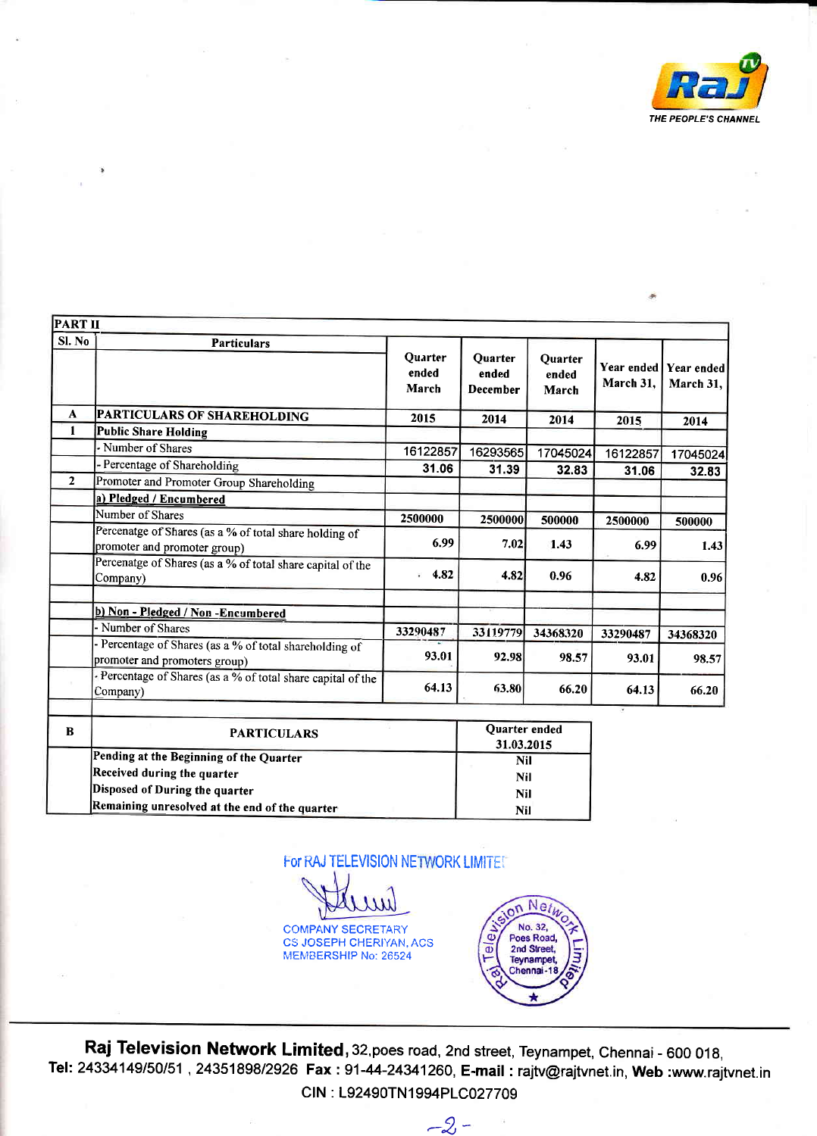

| <b>PART II</b> |                                                                                        |                                  |                                     |                           |                         |                         |
|----------------|----------------------------------------------------------------------------------------|----------------------------------|-------------------------------------|---------------------------|-------------------------|-------------------------|
| Sl. No         | <b>Particulars</b>                                                                     | <b>Quarter</b><br>ended<br>March | <b>Quarter</b><br>ended<br>December | Quarter<br>ended<br>March | Year ended<br>March 31, | Year ended<br>March 31, |
| A              | PARTICULARS OF SHAREHOLDING                                                            | 2015                             | 2014                                | 2014                      | 2015                    | 2014                    |
| 1              | <b>Public Share Holding</b>                                                            |                                  |                                     |                           |                         |                         |
|                | - Number of Shares                                                                     | 16122857                         | 16293565                            | 17045024                  | 16122857                | 17045024                |
|                | - Percentage of Shareholding                                                           | 31.06                            | 31.39                               | 32.83                     | 31.06                   | 32.83                   |
| $\mathbf{2}$   | Promoter and Promoter Group Shareholding                                               |                                  |                                     |                           |                         |                         |
|                | a) Pledged / Encumbered                                                                |                                  |                                     |                           |                         |                         |
|                | Number of Shares                                                                       | 2500000                          | 2500000                             | 500000                    | 2500000                 | 500000                  |
|                | Percenatge of Shares (as a % of total share holding of<br>promoter and promoter group) | 6.99                             | 7.02                                | 1.43                      | 6.99                    | 1.43                    |
|                | Percenatge of Shares (as a % of total share capital of the<br>Company)                 | 4.82                             | 4.82                                | 0.96                      | 4.82                    | 0.96                    |
|                | b) Non - Pledged / Non - Encumbered                                                    |                                  |                                     |                           |                         |                         |
|                | - Number of Shares                                                                     | 33290487                         | 33119779                            | 34368320                  | 33290487                | 34368320                |
|                | Percentage of Shares (as a % of total shareholding of<br>promoter and promoters group) | 93.01                            | 92.98                               | 98.57                     | 93.01                   | 98.57                   |
|                | - Percentage of Shares (as a % of total share capital of the<br>Company)               | 64.13                            | 63.80                               | 66.20                     | 64.13                   | 66.20                   |
| n              | <b>D.A. DOMESTIC:</b>                                                                  |                                  | Quarter ended                       |                           |                         |                         |

| в | <b>PARTICULARS</b>                             | Quarter ended |
|---|------------------------------------------------|---------------|
|   |                                                | 31.03.2015    |
|   | Pending at the Beginning of the Quarter        | Nil           |
|   | Received during the quarter                    | Nil           |
|   | Disposed of During the quarter                 | Nil           |
|   | Remaining unresolved at the end of the quarter | Nil           |

For RAJ TELEVISION NETWORK LIMITED

COMPANY SECRETARY CS JOSEPH CHERIYAN, ACS MEMBERSHIP No: 26524



Raj Television Network Limited, 32, poes road, 2nd street, Teynampet, Chennai - 600 018, Tel: 24334149/50/51, 24351898/2926 Fax: 91-44-24341260, E-mail: rajtv@rajtvnet.in, Web :www.rajtvnet.in CIN : L92490TN1994PLC027709

 $-2 -$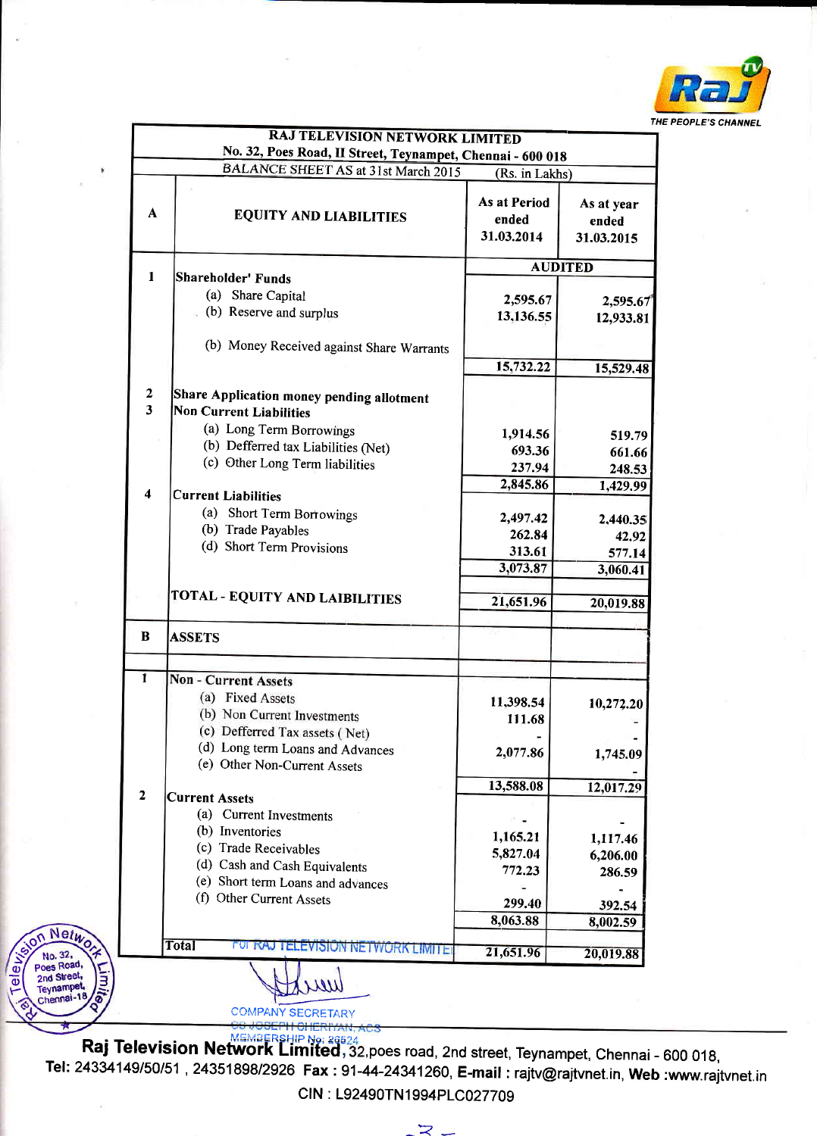

|                              | RAJ TELEVISION NETWORK LIMITED<br>No. 32, Poes Road, II Street, Teynampet, Chennai - 600 018                                                                                         |                                                       |                                         |  |
|------------------------------|--------------------------------------------------------------------------------------------------------------------------------------------------------------------------------------|-------------------------------------------------------|-----------------------------------------|--|
| ۰<br>A                       | BALANCE SHEET AS at 31st March 2015<br><b>EQUITY AND LIABILITIES</b>                                                                                                                 | (Rs. in Lakhs)<br>As at Period<br>ended<br>31.03.2014 | As at year<br>ended<br>31.03.2015       |  |
| 1                            | Shareholder' Funds                                                                                                                                                                   | <b>AUDITED</b>                                        |                                         |  |
|                              | (a) Share Capital<br>(b) Reserve and surplus                                                                                                                                         | 2,595.67<br>13,136.55                                 | 2,595.67<br>12,933.81                   |  |
|                              | (b) Money Received against Share Warrants                                                                                                                                            | 15,732.22                                             | 15,529.48                               |  |
| $\overline{\mathbf{2}}$<br>3 | Share Application money pending allotment<br>Non Current Liabilities<br>(a) Long Term Borrowings<br>(b) Defferred tax Liabilities (Net)<br>(c) Other Long Term liabilities           | 1,914.56<br>693.36<br>237.94                          | 519.79<br>661.66<br>248.53              |  |
| $\overline{\mathbf{4}}$      | <b>Current Liabilities</b>                                                                                                                                                           | 2,845.86                                              | 1,429.99                                |  |
|                              | (a) Short Term Borrowings<br>(b) Trade Payables<br>(d) Short Term Provisions                                                                                                         | 2,497.42<br>262.84<br>313.61<br>3,073.87              | 2,440.35<br>42.92<br>577.14<br>3,060.41 |  |
|                              | TOTAL - EQUITY AND LAIBILITIES                                                                                                                                                       | 21,651.96                                             | 20,019.88                               |  |
| B                            | <b>ASSETS</b>                                                                                                                                                                        |                                                       |                                         |  |
|                              |                                                                                                                                                                                      |                                                       |                                         |  |
| 1                            | <b>Non - Current Assets</b><br>(a) Fixed Assets<br>(b) Non Current Investments<br>(c) Defferred Tax assets (Net)<br>(d) Long term Loans and Advances<br>(e) Other Non-Current Assets | 11,398.54<br>111.68<br>2,077.86                       | 10,272.20<br>1,745.09                   |  |
|                              |                                                                                                                                                                                      | 13,588.08                                             | 12,017.29                               |  |
| $\overline{\mathbf{2}}$      | <b>Current Assets</b><br>(a) Current Investments<br>(b) Inventories<br>(c) Trade Receivables<br>(d) Cash and Cash Equivalents<br>(e) Short term Loans and advances                   | 1,165.21<br>5,827.04<br>772.23                        | 1,117.46<br>6,206.00<br>286.59          |  |
|                              |                                                                                                                                                                                      | 299.40                                                | 392.54                                  |  |
|                              | (f) Other Current Assets                                                                                                                                                             |                                                       |                                         |  |
| Netwo <sub>ck</sub>          | <b>Total</b><br>FOR RAJ TELEVISION NETWORK LIMITER                                                                                                                                   | 8,063.88                                              | 8,002.59                                |  |

**EMBERSHIP No: 26524**<br>**Raj Television Network Limited**, 32, poes road, 2nd street, Teynampet, Chennai - 600 018, Tel: 24334149/50/51, 24351898/2926 Fax: 91-44-24341260, E-mail: rajtv@rajtvnet.in, Web :www.rajtvnet.in CIN : L92490TN1994PLC027709

 $\prec$